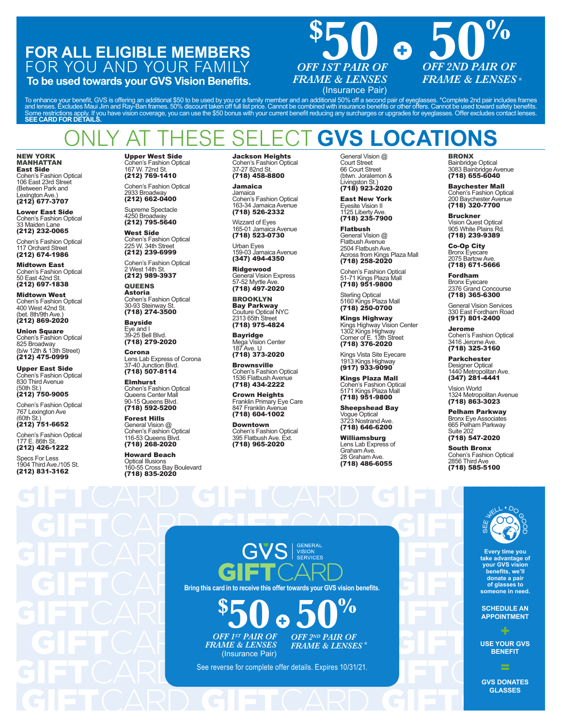## **FOR ALL ELIGIBLE MEMBERS** FOR YOU AND YOUR FAMILY

**To be used towards your GVS Vision Benefits.**



To enhance your benefit, GVS is offering an additional \$50 to be used by you or a family member and an additional 50% off a second pair of eyeglasses. \*Complete 2nd pair includes frames<br>and lenses. Excludes Maui Jim and Ra

# **ESE SELECT GVS LOCATIONS**

### NEW YORK MANHATTAN East Side

Cohen's Fashion Optical 106 East 23rd Street (Between Park and Lexington Ave.)<br>**(212) 677-3707** 

Lower East Side Cohen's Fashion Optical

33 Maiden Lane<br>**(212) 232-0065** Cohen's Fashion Optical

117 Orchard Street (212) 674-1986

Midtown East Cohen's Fashion Optical 50 East 42nd St. (212) 697-1838

Midtown West Cohen's Fashion Optical 400 West 42nd St. (bet. 8th/9th Ave.) (212) 869-2020

Union Square Cohen's Fashion Optical 825 Broadway (b/w 12th & 13th Street) (212) 475-0999

Upper East Side Cohen's Fashion Optical 830 Third Avenue (50th St.) (212) 750-9005

Cohen's Fashion Optical 767 Lexington Ave

(60th St.) (212) 751-6652 Cohen's Fashion Optical 177 E. 86th St.

(212) 426-1222 Specs For Less

1904 Third Ave./105 St.<br>**(212) 831-3162** 

Upper West Side hen's Fashion Optical 167 W. 72nd St. (212) 769-1410

Cohen's Fashion Optical 2933 Broadway (212) 662-0400

Supreme Spectacle 4250 Broadway (212) 795-5640

West Side Cohen's Fashion Optical 225 W. 34th Street (212) 239-6999

Cohen's Fashion Optical 2 West 14th St. (212) 989-3937

**QUEENS** Astoria Cohen's Fashion Optical 30-93 Steinway St. (718) 274-3500

**Bayside** Eye and I 39-25 Bell Blvd. (718) 279-2020

Corona Lens Lab Express of Corona 37-40 Junction Blvd. (718) 507-8114

Elmhurst Cohen's Fashion Optical Queens Center Mall 90-15 Queens Blvd.<br>**(718) 592-5200** 

Forest Hills General Vision @ Cohen's Fashion Optical 116-53 Queens Blvd. (718) 268-2020

Howard Beach Optical Illusions 160-55 Cross Bay Boulevard (718) 835-2020

Jackson Heights Cohen's Fashion Optical 37-27 82nd St. (718) 458-8800

Jamaica Jamaica Cohen's Fashion Optical 163-34 Jamaica Avenue<br>**(718) 526-2332** 

Wizzard of Eyes 165-01 Jamaica Avenue (718) 523-0730

Urban Eyes 159-03 Jamaica Avenue (347) 494-4350

Ridgewood General Vision Express 57-52 Myrtle Ave. (718) 497-2020

BROOKLYN Bay Parkway Couture Optical NYC 2313 65th Street (718) 975-4824

Bayridge Mega Vision Center 187 Ave. U (718) 373-2020

**Brownsville** Cohen's Fashion Optical 1536 Flatbush Avenue (718) 434-2222

Crown Heights Franklin Primary Eye Care 847 Franklin Avenue (718) 604-1002

Downtown Cohen's Fashion Optical 395 Flatbush Ave. Ext. (718) 965-2020

General Vision @ Court Street 66 Court Street (btwn. Joralemon & Livingston St.) (718) 923-2020

East New York Eyesite Vision II 1125 Liberty Ave. (718) 235-7900

Flatbush General Vision @ Flatbush Avenue 2504 Flatbush Ave. 2504 Flatousn Ave.<br>Across from Kings Plaza Mall<br>**(718) 258-2020**<br>Cohen's Fashion Optical (718) 258-2020

Cohen's Fashion Optical 51-71 Kings Plaza Mall (718) 951-9800

Sterling Optical<br>5160 Kings Plaza Mall<br>**(718) 250-0700 of your GVS vision benefits,** 

**Kings Highway** Kings Highway Vision Center 1302 Kings Highway Corner of E. 13th Street (718) 376-2020 Kings Hi<br>من*اع* 1202 الأول

Kings Vista Site Eyecare<br>1913 Kings Highway<br>**(917) 933-9090 SCHEDULE AN**  Rillys Visid Site I<br>1913 Kings High

Kings Plaza Mall Cohen's Fashion Optical<br>5171 Kings Plaza Mall o i / i Niligs Piaza M<br>**(718) 951-9800** 

Sheepshead Bay Vogue Optical 3723 Nostrand Ave.<br>**(718) 646-6200** 

williamsburg Lens Lab Express of Graham Ave. 28 Graham Ave. (718) 486-6055

眼科保险 福利

您每次使用GVS眼

GVS 捐赠眼镜

BRONX Bainbridge Optical 3083 Bainbridge Avenue (718) 655-6040

Baychester Mall Cohen's Fashion Optical 200 Baychester Avenue (718) 320-7700

Bruckner Vision Quest Optical 905 White Plains Rd. (718) 239-9389

Co-Op City Bronx Eyecare 2075 Bartow Ave. (718) 671-5666

Fordham Bronx Eyecare 2376 Grand Concourse (718) 365-6300

General Vision Services 330 East Fordham Road<br>**(917) 801-2400** 

Jerome Cohen's Fashion Optical 3416 Jerome Ave. (718) 325-3160

Parkchester Designer Optical 1440 Metropolitan Ave. (347) 281-4441

Vision World 1324 Metropolitan Avenue (718) 863-3023

Pelham Parkway Bronx Eye Associates 665 Pelham Parkway Suite 202 (718) 547-2020

South Bronx Cohen's Fashion Optical 2856 Third Ave (718) 585-5100



**Every time you take advantage of your GVS vision benefits, we'll donate a pair of glasses to someone in need.** 

**SCHEDULE AN APPOINTMENT**

**USE YOUR GVS BENEFIT**

GIFTCARD GIFTCARD GIFT **GVS DONATES GLASSES**

Every time you<br>
GIFTCARD GIFTCARD GENERAL EVERY CHENCES SERVICES TO THE RAND GIRT CARD GENERAL EVERY CHENCE OF THE CARD GIRLS OF THE CARD GIRLS OF THE CARD GIRLS OF THE CARD GIRLS OF THE CARD GIRLS OF THE CARD GIRLS OF THE GIFTCARD  ${}^{\mathcal{S}}\mathbf{50}$   ${}^{\mathcal{O}}\mathbf{60}$   ${}^{\mathcal{S}}\mathbf{10}$   ${}^{\mathcal{O}}\mathbf{11}$   ${}^{\text{SHEDULEAN}}$ <br>
GIFTCAF GIFT CARD GIFT CONTAIR OF OFF 2ND PAIR OF **Bring this card in to receive this offer towards your GVS vision benefits. \$ 50 6 50**%  $\mathbf G$ **PROGRAME UNA CITA v v i** services  $\blacksquare \curvearrowright \wedge \ulcorner$ GVS *L*  $\blacksquare$   $\smile$   $\smile$   $\smile$   $\smile$   $\smile$ 安排预约 使用您的 科福利,我们都会 为需要的人捐赠一 副眼镜。

**Cada vision** 

RI A

<u>b</u>

*OFF 1ST PAIR OF FRAME & LENSES* (Insurance Pair) **UTILICATE:** OFF 2ND PAIR OF  $ES$  **FRAME & LENSES**\*

See reverse for complete offer details. Expires 10/31/21. See reverse for complete offer details. Expires 10/31/21.

**GVS DONA**